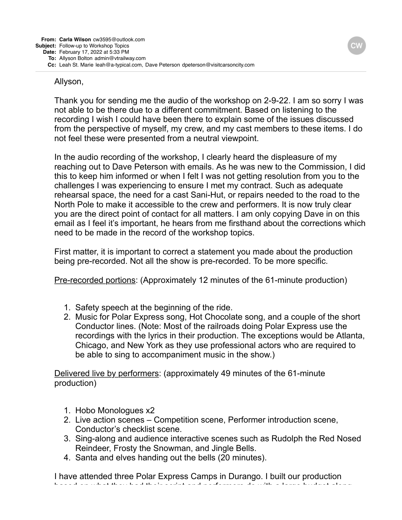## Allyson,

Thank you for sending me the audio of the workshop on 2-9-22. I am so sorry I was not able to be there due to a different commitment. Based on listening to the recording I wish I could have been there to explain some of the issues discussed from the perspective of myself, my crew, and my cast members to these items. I do not feel these were presented from a neutral viewpoint.

In the audio recording of the workshop, I clearly heard the displeasure of my reaching out to Dave Peterson with emails. As he was new to the Commission, I did this to keep him informed or when I felt I was not getting resolution from you to the challenges I was experiencing to ensure I met my contract. Such as adequate rehearsal space, the need for a cast Sani-Hut, or repairs needed to the road to the North Pole to make it accessible to the crew and performers. It is now truly clear you are the direct point of contact for all matters. I am only copying Dave in on this email as I feel it's important, he hears from me firsthand about the corrections which need to be made in the record of the workshop topics.

First matter, it is important to correct a statement you made about the production being pre-recorded. Not all the show is pre-recorded. To be more specific.

Pre-recorded portions: (Approximately 12 minutes of the 61-minute production)

- 1. Safety speech at the beginning of the ride.
- 2. Music for Polar Express song, Hot Chocolate song, and a couple of the short Conductor lines. (Note: Most of the railroads doing Polar Express use the recordings with the lyrics in their production. The exceptions would be Atlanta, Chicago, and New York as they use professional actors who are required to be able to sing to accompaniment music in the show.)

Delivered live by performers: (approximately 49 minutes of the 61-minute production)

- 1. Hobo Monologues x2
- 2. Live action scenes Competition scene, Performer introduction scene, Conductor's checklist scene.
- 3. Sing-along and audience interactive scenes such as Rudolph the Red Nosed Reindeer, Frosty the Snowman, and Jingle Bells.
- 4. Santa and elves handing out the bells (20 minutes).

I have attended three Polar Express Camps in Durango. I built our production based on what they had their script and performers do with a large budget along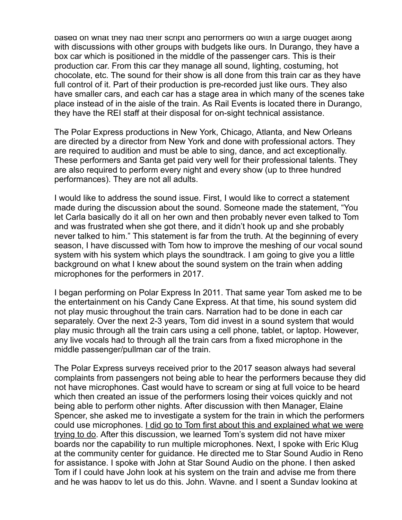based on what they had their script and performers do with a large budget along with discussions with other groups with budgets like ours. In Durango, they have a box car which is positioned in the middle of the passenger cars. This is their production car. From this car they manage all sound, lighting, costuming, hot chocolate, etc. The sound for their show is all done from this train car as they have full control of it. Part of their production is pre-recorded just like ours. They also have smaller cars, and each car has a stage area in which many of the scenes take place instead of in the aisle of the train. As Rail Events is located there in Durango, they have the REI staff at their disposal for on-sight technical assistance.

The Polar Express productions in New York, Chicago, Atlanta, and New Orleans are directed by a director from New York and done with professional actors. They are required to audition and must be able to sing, dance, and act exceptionally. These performers and Santa get paid very well for their professional talents. They are also required to perform every night and every show (up to three hundred performances). They are not all adults.

I would like to address the sound issue. First, I would like to correct a statement made during the discussion about the sound. Someone made the statement, "You let Carla basically do it all on her own and then probably never even talked to Tom and was frustrated when she got there, and it didn't hook up and she probably never talked to him." This statement is far from the truth. At the beginning of every season, I have discussed with Tom how to improve the meshing of our vocal sound system with his system which plays the soundtrack. I am going to give you a little background on what I knew about the sound system on the train when adding microphones for the performers in 2017.

I began performing on Polar Express In 2011. That same year Tom asked me to be the entertainment on his Candy Cane Express. At that time, his sound system did not play music throughout the train cars. Narration had to be done in each car separately. Over the next 2-3 years, Tom did invest in a sound system that would play music through all the train cars using a cell phone, tablet, or laptop. However, any live vocals had to through all the train cars from a fixed microphone in the middle passenger/pullman car of the train.

The Polar Express surveys received prior to the 2017 season always had several complaints from passengers not being able to hear the performers because they did not have microphones. Cast would have to scream or sing at full voice to be heard which then created an issue of the performers losing their voices quickly and not being able to perform other nights. After discussion with then Manager, Elaine Spencer, she asked me to investigate a system for the train in which the performers could use microphones. I did go to Tom first about this and explained what we were trying to do. After this discussion, we learned Tom's system did not have mixer boards nor the capability to run multiple microphones. Next, I spoke with Eric Klug at the community center for guidance. He directed me to Star Sound Audio in Reno for assistance. I spoke with John at Star Sound Audio on the phone. I then asked Tom if I could have John look at his system on the train and advise me from there and he was happy to let us do this. John, Wayne, and I spent a Sunday looking at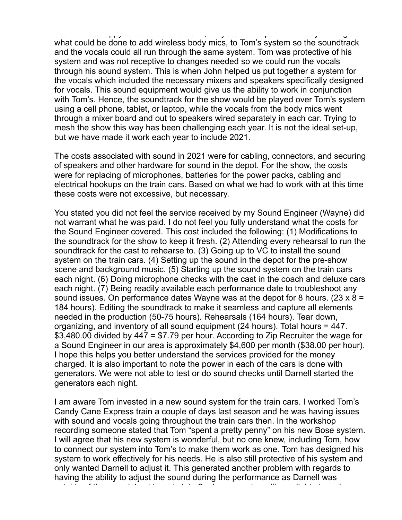and he was happy to let us do this. John, Wayne, and I spent a Sunday looking at what could be done to add wireless body mics, to Tom's system so the soundtrack and the vocals could all run through the same system. Tom was protective of his system and was not receptive to changes needed so we could run the vocals through his sound system. This is when John helped us put together a system for the vocals which included the necessary mixers and speakers specifically designed for vocals. This sound equipment would give us the ability to work in conjunction with Tom's. Hence, the soundtrack for the show would be played over Tom's system using a cell phone, tablet, or laptop, while the vocals from the body mics went through a mixer board and out to speakers wired separately in each car. Trying to mesh the show this way has been challenging each year. It is not the ideal set-up, but we have made it work each year to include 2021.

The costs associated with sound in 2021 were for cabling, connectors, and securing of speakers and other hardware for sound in the depot. For the show, the costs were for replacing of microphones, batteries for the power packs, cabling and electrical hookups on the train cars. Based on what we had to work with at this time these costs were not excessive, but necessary.

You stated you did not feel the service received by my Sound Engineer (Wayne) did not warrant what he was paid. I do not feel you fully understand what the costs for the Sound Engineer covered. This cost included the following: (1) Modifications to the soundtrack for the show to keep it fresh. (2) Attending every rehearsal to run the soundtrack for the cast to rehearse to. (3) Going up to VC to install the sound system on the train cars. (4) Setting up the sound in the depot for the pre-show scene and background music. (5) Starting up the sound system on the train cars each night. (6) Doing microphone checks with the cast in the coach and deluxe cars each night. (7) Being readily available each performance date to troubleshoot any sound issues. On performance dates Wayne was at the depot for 8 hours. (23  $\times$  8 = 184 hours). Editing the soundtrack to make it seamless and capture all elements needed in the production (50-75 hours). Rehearsals (164 hours). Tear down, organizing, and inventory of all sound equipment (24 hours). Total hours = 447. \$3,480.00 divided by 447 = \$7.79 per hour. According to Zip Recruiter the wage for a Sound Engineer in our area is approximately \$4,600 per month (\$38.00 per hour). I hope this helps you better understand the services provided for the money charged. It is also important to note the power in each of the cars is done with generators. We were not able to test or do sound checks until Darnell started the generators each night.

I am aware Tom invested in a new sound system for the train cars. I worked Tom's Candy Cane Express train a couple of days last season and he was having issues with sound and vocals going throughout the train cars then. In the workshop recording someone stated that Tom "spent a pretty penny" on his new Bose system. I will agree that his new system is wonderful, but no one knew, including Tom, how to connect our system into Tom's to make them work as one. Tom has designed his system to work effectively for his needs. He is also still protective of his system and only wanted Darnell to adjust it. This generated another problem with regards to having the ability to adjust the sound during the performance as Darnell was outside of the cars doing his main job. So, he was not readily available to make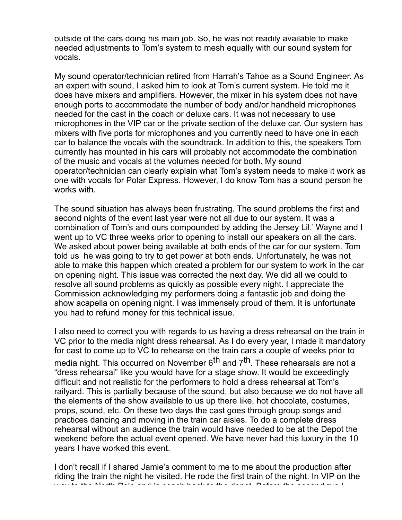outside of the cars doing his main job. So, he was not readily available to make needed adjustments to Tom's system to mesh equally with our sound system for vocals.

My sound operator/technician retired from Harrah's Tahoe as a Sound Engineer. As an expert with sound, I asked him to look at Tom's current system. He told me it does have mixers and amplifiers. However, the mixer in his system does not have enough ports to accommodate the number of body and/or handheld microphones needed for the cast in the coach or deluxe cars. It was not necessary to use microphones in the VIP car or the private section of the deluxe car. Our system has mixers with five ports for microphones and you currently need to have one in each car to balance the vocals with the soundtrack. In addition to this, the speakers Tom currently has mounted in his cars will probably not accommodate the combination of the music and vocals at the volumes needed for both. My sound operator/technician can clearly explain what Tom's system needs to make it work as one with vocals for Polar Express. However, I do know Tom has a sound person he works with.

The sound situation has always been frustrating. The sound problems the first and second nights of the event last year were not all due to our system. It was a combination of Tom's and ours compounded by adding the Jersey Lil.' Wayne and I went up to VC three weeks prior to opening to install our speakers on all the cars. We asked about power being available at both ends of the car for our system. Tom told us he was going to try to get power at both ends. Unfortunately, he was not able to make this happen which created a problem for our system to work in the car on opening night. This issue was corrected the next day. We did all we could to resolve all sound problems as quickly as possible every night. I appreciate the Commission acknowledging my performers doing a fantastic job and doing the show acapella on opening night. I was immensely proud of them. It is unfortunate you had to refund money for this technical issue.

I also need to correct you with regards to us having a dress rehearsal on the train in VC prior to the media night dress rehearsal. As I do every year, I made it mandatory for cast to come up to VC to rehearse on the train cars a couple of weeks prior to media night. This occurred on November 6<sup>th</sup> and 7<sup>th</sup>. These rehearsals are not a "dress rehearsal" like you would have for a stage show. It would be exceedingly difficult and not realistic for the performers to hold a dress rehearsal at Tom's railyard. This is partially because of the sound, but also because we do not have all the elements of the show available to us up there like, hot chocolate, costumes, props, sound, etc. On these two days the cast goes through group songs and practices dancing and moving in the train car aisles. To do a complete dress rehearsal without an audience the train would have needed to be at the Depot the weekend before the actual event opened. We have never had this luxury in the 10 years I have worked this event.

I don't recall if I shared Jamie's comment to me to me about the production after riding the train the night he visited. He rode the first train of the night. In VIP on the way to the North Pole and in coach back to the depotent  $\hat{B}$